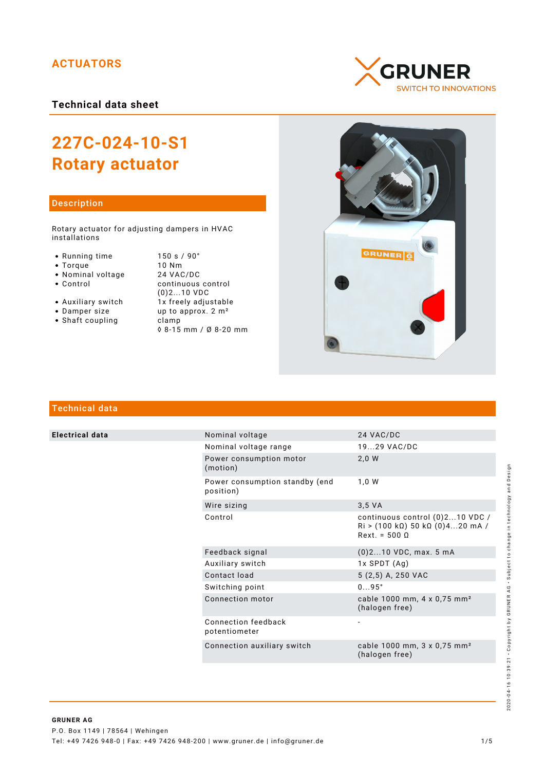## **ACTUATORS**

**Technical data sheet**

# **227C-024-10-S1 Rotary actuator**

## Description

Rotary actuator for adjusting dampers in HVAC installations

- 
- 
- 
- Nominal voltage<br>• Control
- 
- 
- Shaft coupling becamp

• Running time 150 s / 90°<br>• Torque 10 Nm • Torque 10 Nm<br>• Nominal voltage 24 VAC/DC continuous control (0)2...10 VDC • Auxiliary switch  $\overrightarrow{1}x$  freely adjustable<br>• Damper size up to approx. 2 m<sup>2</sup> up to approx.  $2 m<sup>2</sup>$ ◊ 8-15 mm / Ø 8-20 mm





## Technical data

**Electrical data** 

|  | Nominal voltage                             | 24 VAC/DC                                                                                                         |
|--|---------------------------------------------|-------------------------------------------------------------------------------------------------------------------|
|  | Nominal voltage range                       | 1929 VAC/DC                                                                                                       |
|  | Power consumption motor<br>(motion)         | 2,0 W                                                                                                             |
|  | Power consumption standby (end<br>position) | 1,0 W                                                                                                             |
|  | Wire sizing                                 | $3.5 \text{ VA}$                                                                                                  |
|  | Control                                     | continuous control (0)210 VDC /<br>$\text{Ri} > (100 \text{ k}\Omega)$ 50 k $\Omega$ (0)420 mA /<br>$Rext = 5000$ |
|  | Feedback signal                             | $(0)$ 210 VDC, max. 5 mA                                                                                          |
|  | Auxiliary switch                            | $1x$ SPDT $(Aq)$                                                                                                  |
|  | Contact load                                | 5 (2,5) A, 250 VAC                                                                                                |
|  | Switching point                             | $095^\circ$                                                                                                       |
|  | Connection motor                            | cable 1000 mm, 4 x 0,75 mm <sup>2</sup><br>(halogen free)                                                         |
|  | Connection feedback<br>potentiometer        |                                                                                                                   |
|  | Connection auxiliary switch                 | cable 1000 mm, 3 x 0,75 mm <sup>2</sup><br>(halogen free)                                                         |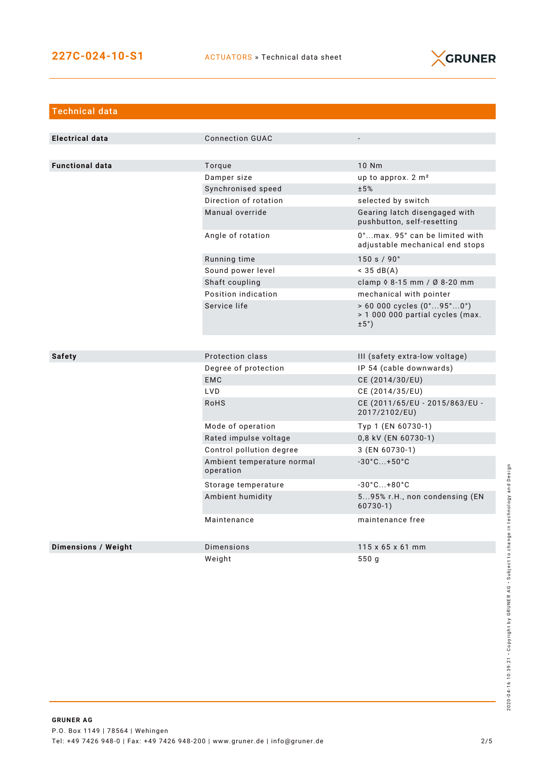

| <b>Technical data</b>      |                                         |                                                                                                            |  |
|----------------------------|-----------------------------------------|------------------------------------------------------------------------------------------------------------|--|
|                            |                                         |                                                                                                            |  |
| <b>Electrical data</b>     | <b>Connection GUAC</b>                  |                                                                                                            |  |
|                            |                                         |                                                                                                            |  |
| <b>Functional data</b>     | Torque                                  | 10 Nm                                                                                                      |  |
|                            | Damper size                             | up to approx. 2 m <sup>2</sup>                                                                             |  |
|                            | Synchronised speed                      | ±5%                                                                                                        |  |
|                            | Direction of rotation                   | selected by switch                                                                                         |  |
|                            | Manual override                         | Gearing latch disengaged with<br>pushbutton, self-resetting                                                |  |
|                            | Angle of rotation                       | 0°max. 95° can be limited with<br>adjustable mechanical end stops                                          |  |
|                            | Running time                            | 150 s / 90°                                                                                                |  |
|                            | Sound power level                       | $<$ 35 dB(A)                                                                                               |  |
|                            | Shaft coupling                          | clamp $\Diamond$ 8-15 mm / $\emptyset$ 8-20 mm                                                             |  |
|                            | Position indication                     | mechanical with pointer                                                                                    |  |
|                            | Service life                            | $> 60000$ cycles $(0^{\circ}95^{\circ}0^{\circ})$<br>> 1 000 000 partial cycles (max.<br>$\pm 5^{\circ}$ ) |  |
|                            |                                         |                                                                                                            |  |
| <b>Safety</b>              | Protection class                        | III (safety extra-low voltage)                                                                             |  |
|                            | Degree of protection                    | IP 54 (cable downwards)                                                                                    |  |
|                            | <b>EMC</b>                              | CE (2014/30/EU)                                                                                            |  |
|                            | <b>LVD</b>                              | CE (2014/35/EU)                                                                                            |  |
|                            | <b>RoHS</b>                             | CE (2011/65/EU - 2015/863/EU -<br>2017/2102/EU)                                                            |  |
|                            | Mode of operation                       | Typ 1 (EN 60730-1)                                                                                         |  |
|                            | Rated impulse voltage                   | 0,8 kV (EN 60730-1)                                                                                        |  |
|                            | Control pollution degree                | 3 (EN 60730-1)                                                                                             |  |
|                            | Ambient temperature normal<br>operation | $-30^{\circ}$ C+50 $^{\circ}$ C                                                                            |  |
|                            | Storage temperature                     | $-30^{\circ}$ C +80 $^{\circ}$ C                                                                           |  |
|                            | Ambient humidity                        | 595% r.H., non condensing (EN<br>$60730-1)$                                                                |  |
|                            | Maintenance                             | maintenance free                                                                                           |  |
| <b>Dimensions / Weight</b> | Dimensions                              | 115 x 65 x 61 mm                                                                                           |  |
|                            | Weight                                  | 550 g                                                                                                      |  |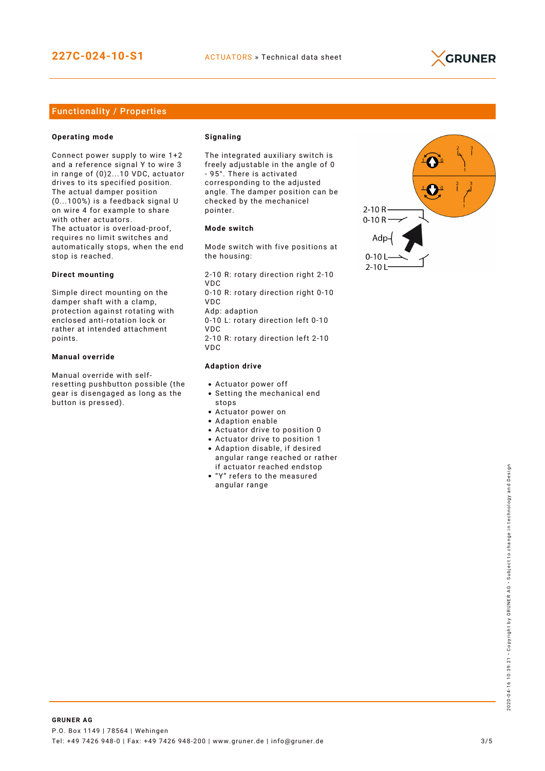

## Functionality / Properties

#### **Operating mode**

Connect power supply to wire 1+2 and a reference signal Y to wire 3 in range of (0)2...10 VDC, actuator drives to its specified position. The actual damper position (0...100%) is a feedback signal U on wire 4 for example to share with other actuators. The actuator is overload-proof, requires no limit switches and automatically stops, when the end stop is reached.

#### **Direct mounting**

Simple direct mounting on the damper shaft with a clamp, protection against rotating with enclosed anti-rotation lock or rather at intended attachment points.

#### **Manual override**

Manual override with selfresetting pushbutton possible (the gear is disengaged as long as the button is pressed).

#### **Signaling**

The integrated auxiliary switch is freely adjustable in the angle of 0 - 95°. There is activated corresponding to the adjusted angle. The damper position can be checked by the mechanicel pointer.

#### **Mode switch**

Mode switch with five positions at the housing:

2-10 R: rotary direction right 2-10 VDC 0-10 R: rotary direction right 0-10 VDC Adp: adaption 0-10 L: rotary direction left 0-10 VDC

2-10 R: rotary direction left 2-10 VDC

#### **Adaption drive**

- Actuator power off
- Setting the mechanical end stops
- Actuator power on
- Adaption enable
- Actuator drive to position 0
- Actuator drive to position 1
- Adaption disable, if desired angular range reached or rather if actuator reached endstop
- "Y" refers to the measured angular range

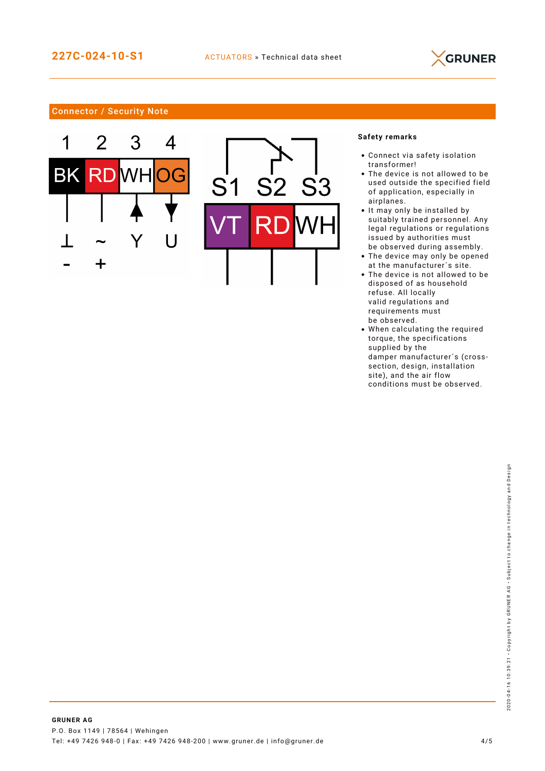

## Connector / Security Note





## **Safety remarks**

- Connect via safety isolation transformer!
- The device is not allowed to be used outside the specified field of application, especially in airplanes.
- It may only be installed by suitably trained personnel. Any legal regulations or regulations issued by authorities must be observed during assembly.
- The device may only be opened at the manufacturer´s site.
- The device is not allowed to be disposed of as household refuse. All locally valid regulations and requirements must be observed.
- When calculating the required torque, the specifications supplied by the damper manufacturer´s (crosssection, design, installation site), and the air flow conditions must be observed.